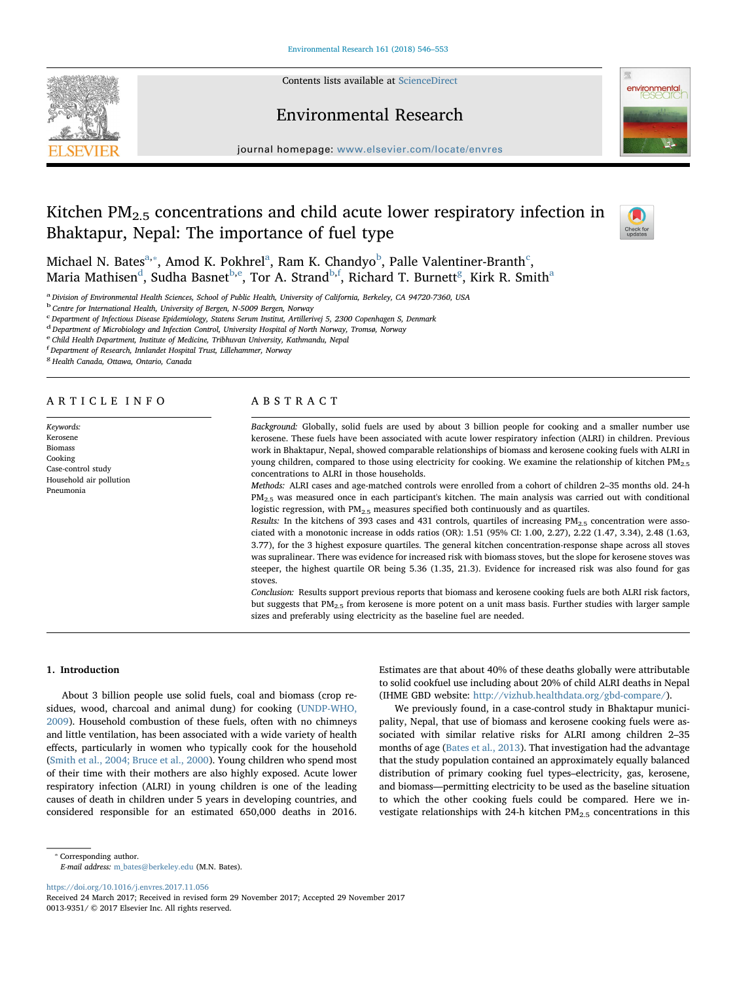

Contents lists available at [ScienceDirect](http://www.sciencedirect.com/science/journal/00139351)

## Environmental Research



journal homepage: [www.elsevier.com/locate/envres](https://www.elsevier.com/locate/envres)

# Kitchen  $PM_{2.5}$  concentrations and child acute lower respiratory infection in Bhaktapur, Nepal: The importance of fuel type



Mich[a](#page-0-0)el N. Bates $^{\mathrm{a},*}$ , Amod K. Pokhrel $^{\mathrm{a}}$ , Ram K. Chandyo $^{\mathrm{b}}$  $^{\mathrm{b}}$  $^{\mathrm{b}}$ , Palle Valentiner-Branth $^{\mathrm{c}}$  $^{\mathrm{c}}$  $^{\mathrm{c}}$ , Maria Mathis[e](#page-0-5)n $^{\rm d}$  $^{\rm d}$  $^{\rm d}$ , Sudh[a](#page-0-0) Basnet $^{\rm b,e}$  $^{\rm b,e}$  $^{\rm b,e}$ , Tor A. Strand $^{\rm b,f}$  $^{\rm b,f}$  $^{\rm b,f}$ , Richard T. Burnett $^{\rm g}$  $^{\rm g}$  $^{\rm g}$ , Kirk R. Smith $^{\rm a}$ 

<span id="page-0-0"></span>a Division of Environmental Health Sciences, School of Public Health, University of California, Berkeley, CA 94720-7360, USA

<span id="page-0-2"></span><sup>b</sup> Centre for International Health, University of Bergen, N-5009 Bergen, Norway

<span id="page-0-3"></span><sup>c</sup> Department of Infectious Disease Epidemiology, Statens Serum Institut, Artillerivej 5, 2300 Copenhagen S, Denmark

<span id="page-0-4"></span><sup>d</sup> Department of Microbiology and Infection Control, University Hospital of North Norway, Tromsø, Norway

<span id="page-0-5"></span>e Child Health Department, Institute of Medicine, Tribhuvan University, Kathmandu, Nepal

<span id="page-0-6"></span>f Department of Research, Innlandet Hospital Trust, Lillehammer, Norway

<span id="page-0-7"></span><sup>8</sup> Health Canada, Ottawa, Ontario, Canada

## ARTICLE INFO

Keywords: Kerosene Biomass Cooking Case-control study Household air pollution Pneumonia

## ABSTRACT

Background: Globally, solid fuels are used by about 3 billion people for cooking and a smaller number use kerosene. These fuels have been associated with acute lower respiratory infection (ALRI) in children. Previous work in Bhaktapur, Nepal, showed comparable relationships of biomass and kerosene cooking fuels with ALRI in young children, compared to those using electricity for cooking. We examine the relationship of kitchen PM<sub>2.5</sub> concentrations to ALRI in those households.

Methods: ALRI cases and age-matched controls were enrolled from a cohort of children 2–35 months old. 24-h  $PM_{2.5}$  was measured once in each participant's kitchen. The main analysis was carried out with conditional logistic regression, with PM<sub>2.5</sub> measures specified both continuously and as quartiles.

Results: In the kitchens of 393 cases and 431 controls, quartiles of increasing  $PM_{2.5}$  concentration were associated with a monotonic increase in odds ratios (OR): 1.51 (95% CI: 1.00, 2.27), 2.22 (1.47, 3.34), 2.48 (1.63, 3.77), for the 3 highest exposure quartiles. The general kitchen concentration-response shape across all stoves was supralinear. There was evidence for increased risk with biomass stoves, but the slope for kerosene stoves was steeper, the highest quartile OR being 5.36 (1.35, 21.3). Evidence for increased risk was also found for gas stoves.

Conclusion: Results support previous reports that biomass and kerosene cooking fuels are both ALRI risk factors, but suggests that PM2.5 from kerosene is more potent on a unit mass basis. Further studies with larger sample sizes and preferably using electricity as the baseline fuel are needed.

## 1. Introduction

About 3 billion people use solid fuels, coal and biomass (crop residues, wood, charcoal and animal dung) for cooking [\(UNDP-WHO,](#page-7-0) [2009\)](#page-7-0). Household combustion of these fuels, often with no chimneys and little ventilation, has been associated with a wide variety of health effects, particularly in women who typically cook for the household ([Smith et al., 2004; Bruce et al., 2000\)](#page-7-1). Young children who spend most of their time with their mothers are also highly exposed. Acute lower respiratory infection (ALRI) in young children is one of the leading causes of death in children under 5 years in developing countries, and considered responsible for an estimated 650,000 deaths in 2016.

Estimates are that about 40% of these deaths globally were attributable to solid cookfuel use including about 20% of child ALRI deaths in Nepal (IHME GBD website: <http://vizhub.healthdata.org/gbd-compare/>).

We previously found, in a case-control study in Bhaktapur municipality, Nepal, that use of biomass and kerosene cooking fuels were associated with similar relative risks for ALRI among children 2–35 months of age ([Bates et al., 2013\)](#page-6-0). That investigation had the advantage that the study population contained an approximately equally balanced distribution of primary cooking fuel types–electricity, gas, kerosene, and biomass—permitting electricity to be used as the baseline situation to which the other cooking fuels could be compared. Here we investigate relationships with 24-h kitchen  $PM_{2.5}$  concentrations in this

E-mail address: [m\\_bates@berkeley.edu](mailto:m_bates@berkeley.edu) (M.N. Bates).

<https://doi.org/10.1016/j.envres.2017.11.056>

<span id="page-0-1"></span><sup>⁎</sup> Corresponding author.

Received 24 March 2017; Received in revised form 29 November 2017; Accepted 29 November 2017 0013-9351/ © 2017 Elsevier Inc. All rights reserved.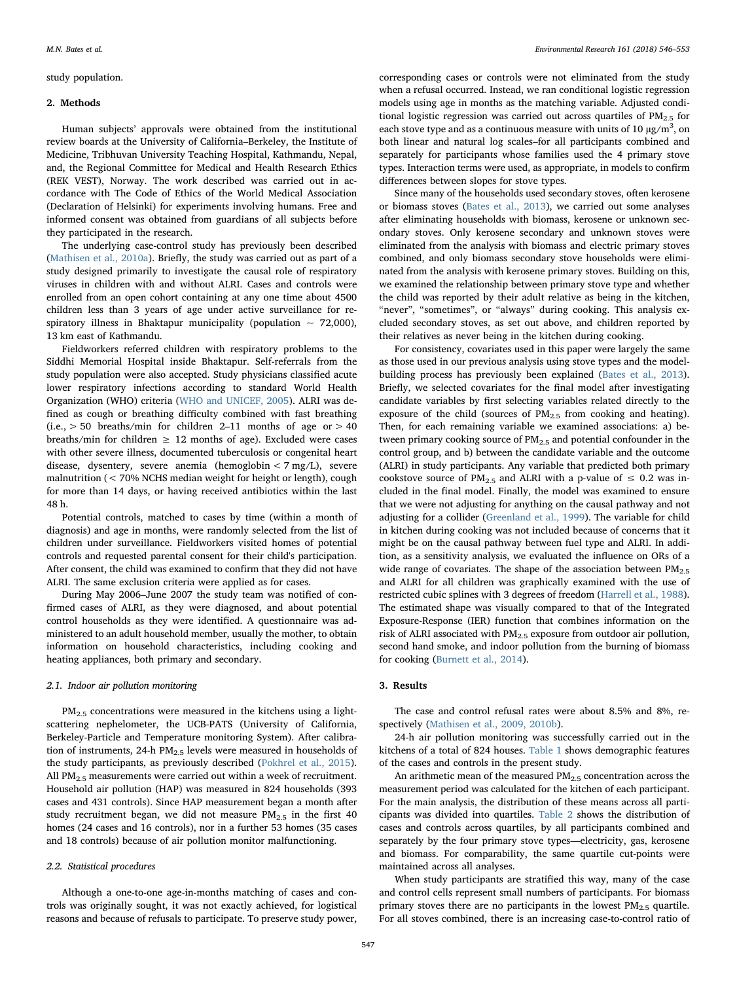## study population.

## 2. Methods

Human subjects' approvals were obtained from the institutional review boards at the University of California–Berkeley, the Institute of Medicine, Tribhuvan University Teaching Hospital, Kathmandu, Nepal, and, the Regional Committee for Medical and Health Research Ethics (REK VEST), Norway. The work described was carried out in accordance with The Code of Ethics of the World Medical Association (Declaration of Helsinki) for experiments involving humans. Free and informed consent was obtained from guardians of all subjects before they participated in the research.

The underlying case-control study has previously been described ([Mathisen et al., 2010a\)](#page-6-1). Briefly, the study was carried out as part of a study designed primarily to investigate the causal role of respiratory viruses in children with and without ALRI. Cases and controls were enrolled from an open cohort containing at any one time about 4500 children less than 3 years of age under active surveillance for respiratory illness in Bhaktapur municipality (population  $\sim$  72,000), 13 km east of Kathmandu.

Fieldworkers referred children with respiratory problems to the Siddhi Memorial Hospital inside Bhaktapur. Self-referrals from the study population were also accepted. Study physicians classified acute lower respiratory infections according to standard World Health Organization (WHO) criteria [\(WHO and UNICEF, 2005\)](#page-7-2). ALRI was defined as cough or breathing difficulty combined with fast breathing (i.e.,  $> 50$  breaths/min for children 2-11 months of age or  $> 40$ breaths/min for children  $\geq$  12 months of age). Excluded were cases with other severe illness, documented tuberculosis or congenital heart disease, dysentery, severe anemia (hemoglobin < 7 mg/L), severe malnutrition (< 70% NCHS median weight for height or length), cough for more than 14 days, or having received antibiotics within the last 48 h.

Potential controls, matched to cases by time (within a month of diagnosis) and age in months, were randomly selected from the list of children under surveillance. Fieldworkers visited homes of potential controls and requested parental consent for their child's participation. After consent, the child was examined to confirm that they did not have ALRI. The same exclusion criteria were applied as for cases.

During May 2006–June 2007 the study team was notified of confirmed cases of ALRI, as they were diagnosed, and about potential control households as they were identified. A questionnaire was administered to an adult household member, usually the mother, to obtain information on household characteristics, including cooking and heating appliances, both primary and secondary.

## 2.1. Indoor air pollution monitoring

PM<sub>2.5</sub> concentrations were measured in the kitchens using a lightscattering nephelometer, the UCB-PATS (University of California, Berkeley-Particle and Temperature monitoring System). After calibration of instruments, 24-h  $PM_{2.5}$  levels were measured in households of the study participants, as previously described [\(Pokhrel et al., 2015](#page-7-3)). All  $PM<sub>25</sub>$  measurements were carried out within a week of recruitment. Household air pollution (HAP) was measured in 824 households (393 cases and 431 controls). Since HAP measurement began a month after study recruitment began, we did not measure  $PM_{2.5}$  in the first 40 homes (24 cases and 16 controls), nor in a further 53 homes (35 cases and 18 controls) because of air pollution monitor malfunctioning.

## 2.2. Statistical procedures

Although a one-to-one age-in-months matching of cases and controls was originally sought, it was not exactly achieved, for logistical reasons and because of refusals to participate. To preserve study power, corresponding cases or controls were not eliminated from the study when a refusal occurred. Instead, we ran conditional logistic regression models using age in months as the matching variable. Adjusted conditional logistic regression was carried out across quartiles of  $PM_{2.5}$  for each stove type and as a continuous measure with units of 10  $\mu$ g/m<sup>3</sup>, on both linear and natural log scales–for all participants combined and separately for participants whose families used the 4 primary stove types. Interaction terms were used, as appropriate, in models to confirm differences between slopes for stove types.

Since many of the households used secondary stoves, often kerosene or biomass stoves [\(Bates et al., 2013](#page-6-0)), we carried out some analyses after eliminating households with biomass, kerosene or unknown secondary stoves. Only kerosene secondary and unknown stoves were eliminated from the analysis with biomass and electric primary stoves combined, and only biomass secondary stove households were eliminated from the analysis with kerosene primary stoves. Building on this, we examined the relationship between primary stove type and whether the child was reported by their adult relative as being in the kitchen, "never", "sometimes", or "always" during cooking. This analysis excluded secondary stoves, as set out above, and children reported by their relatives as never being in the kitchen during cooking.

For consistency, covariates used in this paper were largely the same as those used in our previous analysis using stove types and the modelbuilding process has previously been explained ([Bates et al., 2013](#page-6-0)). Briefly, we selected covariates for the final model after investigating candidate variables by first selecting variables related directly to the exposure of the child (sources of  $PM<sub>2.5</sub>$  from cooking and heating). Then, for each remaining variable we examined associations: a) between primary cooking source of PM<sub>2.5</sub> and potential confounder in the control group, and b) between the candidate variable and the outcome (ALRI) in study participants. Any variable that predicted both primary cookstove source of PM<sub>2.5</sub> and ALRI with a p-value of  $\leq$  0.2 was included in the final model. Finally, the model was examined to ensure that we were not adjusting for anything on the causal pathway and not adjusting for a collider [\(Greenland et al., 1999\)](#page-6-2). The variable for child in kitchen during cooking was not included because of concerns that it might be on the causal pathway between fuel type and ALRI. In addition, as a sensitivity analysis, we evaluated the influence on ORs of a wide range of covariates. The shape of the association between  $PM_{2.5}$ and ALRI for all children was graphically examined with the use of restricted cubic splines with 3 degrees of freedom ([Harrell et al., 1988](#page-6-3)). The estimated shape was visually compared to that of the Integrated Exposure-Response (IER) function that combines information on the risk of ALRI associated with  $PM_{2.5}$  exposure from outdoor air pollution, second hand smoke, and indoor pollution from the burning of biomass for cooking ([Burnett et al., 2014](#page-6-4)).

## 3. Results

The case and control refusal rates were about 8.5% and 8%, respectively [\(Mathisen et al., 2009, 2010b](#page-6-5)).

24-h air pollution monitoring was successfully carried out in the kitchens of a total of 824 houses. [Table 1](#page-2-0) shows demographic features of the cases and controls in the present study.

An arithmetic mean of the measured  $PM<sub>2.5</sub>$  concentration across the measurement period was calculated for the kitchen of each participant. For the main analysis, the distribution of these means across all participants was divided into quartiles. [Table 2](#page-3-0) shows the distribution of cases and controls across quartiles, by all participants combined and separately by the four primary stove types—electricity, gas, kerosene and biomass. For comparability, the same quartile cut-points were maintained across all analyses.

When study participants are stratified this way, many of the case and control cells represent small numbers of participants. For biomass primary stoves there are no participants in the lowest  $PM_{2.5}$  quartile. For all stoves combined, there is an increasing case-to-control ratio of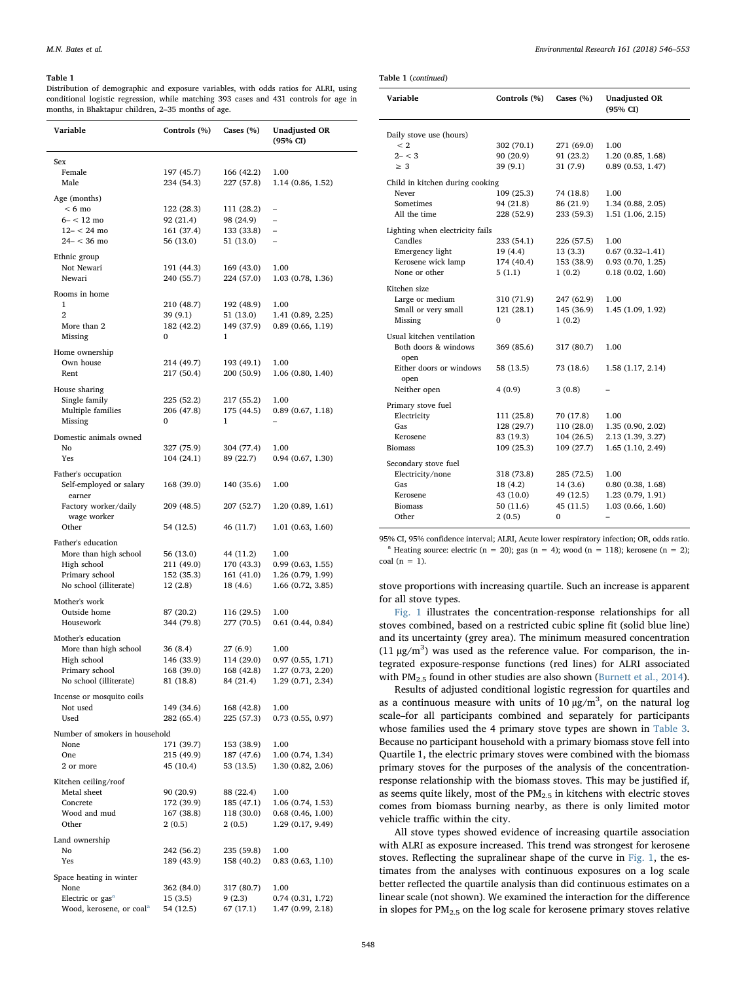<span id="page-2-0"></span>Distribution of demographic and exposure variables, with odds ratios for ALRI, using conditional logistic regression, while matching 393 cases and 431 controls for age in months, in Bhaktapur children, 2–35 months of age.

| Variable                                       | Controls (%) | Cases (%)  | <b>Unadjusted OR</b><br>$(95\% \text{ CI})$ |
|------------------------------------------------|--------------|------------|---------------------------------------------|
| Sex                                            |              |            |                                             |
| Female                                         | 197 (45.7)   | 166 (42.2) | 1.00                                        |
| Male                                           | 234 (54.3)   | 227 (57.8) | 1.14 (0.86, 1.52)                           |
| Age (months)                                   |              |            |                                             |
| $< 6 \text{ mo}$                               | 122 (28.3)   | 111 (28.2) |                                             |
| $6- < 12$ mo                                   | 92 (21.4)    | 98 (24.9)  |                                             |
| $12 - < 24$ mo                                 | 161 (37.4)   | 133 (33.8) | $\overline{\phantom{0}}$                    |
| $24 - < 36$ mo                                 | 56 (13.0)    | 51 (13.0)  | $\overline{\phantom{0}}$                    |
| Ethnic group                                   |              |            |                                             |
| Not Newari                                     | 191 (44.3)   | 169 (43.0) | 1.00                                        |
| Newari                                         | 240 (55.7)   | 224 (57.0) | 1.03 (0.78, 1.36)                           |
| Rooms in home                                  |              |            |                                             |
| 1                                              | 210 (48.7)   | 192 (48.9) | 1.00                                        |
| $\overline{2}$                                 | 39 (9.1)     | 51 (13.0)  | 1.41 (0.89, 2.25)                           |
| More than 2                                    | 182 (42.2)   | 149 (37.9) | 0.89(0.66, 1.19)                            |
| Missing                                        | 0            | 1          |                                             |
| Home ownership                                 |              |            |                                             |
| Own house                                      | 214 (49.7)   | 193 (49.1) | 1.00                                        |
| Rent                                           | 217 (50.4)   | 200 (50.9) | 1.06(0.80, 1.40)                            |
| House sharing                                  |              |            |                                             |
| Single family                                  | 225 (52.2)   | 217 (55.2) | 1.00                                        |
| Multiple families                              | 206 (47.8)   | 175 (44.5) | 0.89(0.67, 1.18)                            |
| Missing                                        | 0            | 1          |                                             |
| Domestic animals owned                         |              |            |                                             |
| No                                             | 327 (75.9)   | 304 (77.4) | 1.00                                        |
| Yes                                            | 104 (24.1)   | 89 (22.7)  | 0.94(0.67, 1.30)                            |
|                                                |              |            |                                             |
| Father's occupation<br>Self-employed or salary | 168 (39.0)   | 140 (35.6) | 1.00                                        |
| earner<br>Factory worker/daily                 | 209 (48.5)   | 207 (52.7) | 1.20(0.89, 1.61)                            |
| wage worker<br>Other                           | 54 (12.5)    | 46 (11.7)  | 1.01(0.63, 1.60)                            |
| Father's education                             |              |            |                                             |
| More than high school                          | 56 (13.0)    | 44 (11.2)  | 1.00                                        |
| High school                                    | 211 (49.0)   | 170 (43.3) | 0.99(0.63, 1.55)                            |
| Primary school                                 | 152 (35.3)   | 161 (41.0) | 1.26 (0.79, 1.99)                           |
| No school (illiterate)                         | 12(2.8)      | 18 (4.6)   | 1.66 (0.72, 3.85)                           |
| Mother's work                                  |              |            |                                             |
| Outside home                                   | 87 (20.2)    | 116 (29.5) | 1.00                                        |
| Housework                                      | 344 (79.8)   | 277 (70.5) | 0.61(0.44, 0.84)                            |
| Mother's education                             |              |            |                                             |
| More than high school                          | 36 (8.4)     | 27 (6.9)   | 1.00                                        |
| High school                                    | 146 (33.9)   | 114 (29.0) | 0.97(0.55, 1.71)                            |
| Primary school                                 | 168 (39.0)   | 168 (42.8) | 1.27 (0.73, 2.20)                           |
| No school (illiterate)                         | 81 (18.8)    | 84 (21.4)  | 1.29 (0.71, 2.34)                           |
| Incense or mosquito coils                      |              |            |                                             |
| Not used                                       | 149 (34.6)   | 168 (42.8) | 1.00                                        |
| Used                                           | 282 (65.4)   | 225 (57.3) | 0.73(0.55, 0.97)                            |
| Number of smokers in household                 |              |            |                                             |
| None                                           | 171 (39.7)   | 153 (38.9) | 1.00                                        |
| One                                            | 215 (49.9)   | 187 (47.6) | 1.00(0.74, 1.34)                            |
| 2 or more                                      | 45 (10.4)    | 53 (13.5)  | 1.30 (0.82, 2.06)                           |
| Kitchen ceiling/roof                           |              |            |                                             |
| Metal sheet                                    | 90 (20.9)    | 88 (22.4)  | 1.00                                        |
| Concrete                                       | 172 (39.9)   | 185 (47.1) | 1.06 (0.74, 1.53)                           |
| Wood and mud                                   | 167 (38.8)   | 118 (30.0) | $0.68$ $(0.46, 1.00)$                       |
| Other                                          | 2(0.5)       | 2(0.5)     | 1.29 (0.17, 9.49)                           |
| Land ownership                                 |              |            |                                             |
| No                                             | 242 (56.2)   | 235 (59.8) | 1.00                                        |
| Yes                                            | 189 (43.9)   | 158 (40.2) | 0.83(0.63, 1.10)                            |
| Space heating in winter                        |              |            |                                             |
| None                                           | 362 (84.0)   | 317 (80.7) | 1.00                                        |
| Electric or gas <sup>a</sup>                   | 15 (3.5)     | 9(2.3)     | 0.74(0.31, 1.72)                            |
| Wood, kerosene, or coal <sup>a</sup>           | 54 (12.5)    | 67 (17.1)  | 1.47 (0.99, 2.18)                           |

Table 1 (continued)

| Variable                                                                                                     | Controls (%)                                               | Cases $(\% )$                                               | <b>Unadjusted OR</b><br>(95% CI)                                    |
|--------------------------------------------------------------------------------------------------------------|------------------------------------------------------------|-------------------------------------------------------------|---------------------------------------------------------------------|
| Daily stove use (hours)<br>< 2<br>$2 - < 3$<br>$\geq 3$                                                      | 302 (70.1)<br>90 (20.9)<br>39(9.1)                         | 271 (69.0)<br>91 (23.2)<br>31(7.9)                          | 1.00<br>1.20(0.85, 1.68)<br>0.89(0.53, 1.47)                        |
| Child in kitchen during cooking<br>Never<br>Sometimes<br>All the time                                        | 109 (25.3)<br>94 (21.8)<br>228 (52.9)                      | 74 (18.8)<br>86 (21.9)<br>233 (59.3)                        | 1.00<br>1.34 (0.88, 2.05)<br>1.51 (1.06, 2.15)                      |
| Lighting when electricity fails<br>Candles<br>Emergency light<br>Kerosene wick lamp<br>None or other         | 233 (54.1)<br>19 (4.4)<br>174 (40.4)<br>5(1.1)             | 226 (57.5)<br>13(3.3)<br>153 (38.9)<br>1(0.2)               | 1.00<br>$0.67(0.32 - 1.41)$<br>0.93(0.70, 1.25)<br>0.18(0.02, 1.60) |
| Kitchen size<br>Large or medium<br>Small or very small<br>Missing                                            | 310 (71.9)<br>121 (28.1)<br>0                              | 247 (62.9)<br>145 (36.9)<br>1(0.2)                          | 1.00<br>1.45 (1.09, 1.92)                                           |
| Usual kitchen ventilation<br>Both doors & windows<br>open<br>Either doors or windows<br>open<br>Neither open | 369 (85.6)<br>58 (13.5)<br>4 (0.9)                         | 317 (80.7)<br>73 (18.6)<br>3(0.8)                           | 1.00<br>1.58 (1.17, 2.14)                                           |
| Primary stove fuel<br>Electricity<br>Gas<br>Kerosene<br><b>Biomass</b>                                       | 111 (25.8)<br>128 (29.7)<br>83 (19.3)<br>109(25.3)         | 70 (17.8)<br>110 (28.0)<br>104 (26.5)<br>109(27.7)          | 1.00<br>1.35(0.90, 2.02)<br>2.13 (1.39, 3.27)<br>1.65 (1.10, 2.49)  |
| Secondary stove fuel<br>Electricity/none<br>Gas<br>Kerosene<br><b>Biomass</b><br>Other                       | 318 (73.8)<br>18 (4.2)<br>43 (10.0)<br>50 (11.6)<br>2(0.5) | 285 (72.5)<br>14(3.6)<br>49 (12.5)<br>45 (11.5)<br>$\Omega$ | 1.00<br>0.80(0.38, 1.68)<br>1.23 (0.79, 1.91)<br>1.03(0.66, 1.60)   |

<span id="page-2-1"></span>95% CI, 95% confidence interval; ALRI, Acute lower respiratory infection; OR, odds ratio. <sup>a</sup> Heating source: electric (n = 20); gas (n = 4); wood (n = 118); kerosene (n = 2); coal  $(n = 1)$ .

stove proportions with increasing quartile. Such an increase is apparent for all stove types.

[Fig. 1](#page-3-1) illustrates the concentration-response relationships for all stoves combined, based on a restricted cubic spline fit (solid blue line) and its uncertainty (grey area). The minimum measured concentration (11  $\mu$ g/m<sup>3</sup>) was used as the reference value. For comparison, the integrated exposure-response functions (red lines) for ALRI associated with PM<sub>2.5</sub> found in other studies are also shown ([Burnett et al., 2014](#page-6-4)).

Results of adjusted conditional logistic regression for quartiles and as a continuous measure with units of 10  $\mu$ g/m<sup>3</sup>, on the natural log scale–for all participants combined and separately for participants whose families used the 4 primary stove types are shown in [Table 3](#page-3-2). Because no participant household with a primary biomass stove fell into Quartile 1, the electric primary stoves were combined with the biomass primary stoves for the purposes of the analysis of the concentrationresponse relationship with the biomass stoves. This may be justified if, as seems quite likely, most of the  $PM_{2.5}$  in kitchens with electric stoves comes from biomass burning nearby, as there is only limited motor vehicle traffic within the city.

All stove types showed evidence of increasing quartile association with ALRI as exposure increased. This trend was strongest for kerosene stoves. Reflecting the supralinear shape of the curve in [Fig. 1,](#page-3-1) the estimates from the analyses with continuous exposures on a log scale better reflected the quartile analysis than did continuous estimates on a linear scale (not shown). We examined the interaction for the difference in slopes for PM2.5 on the log scale for kerosene primary stoves relative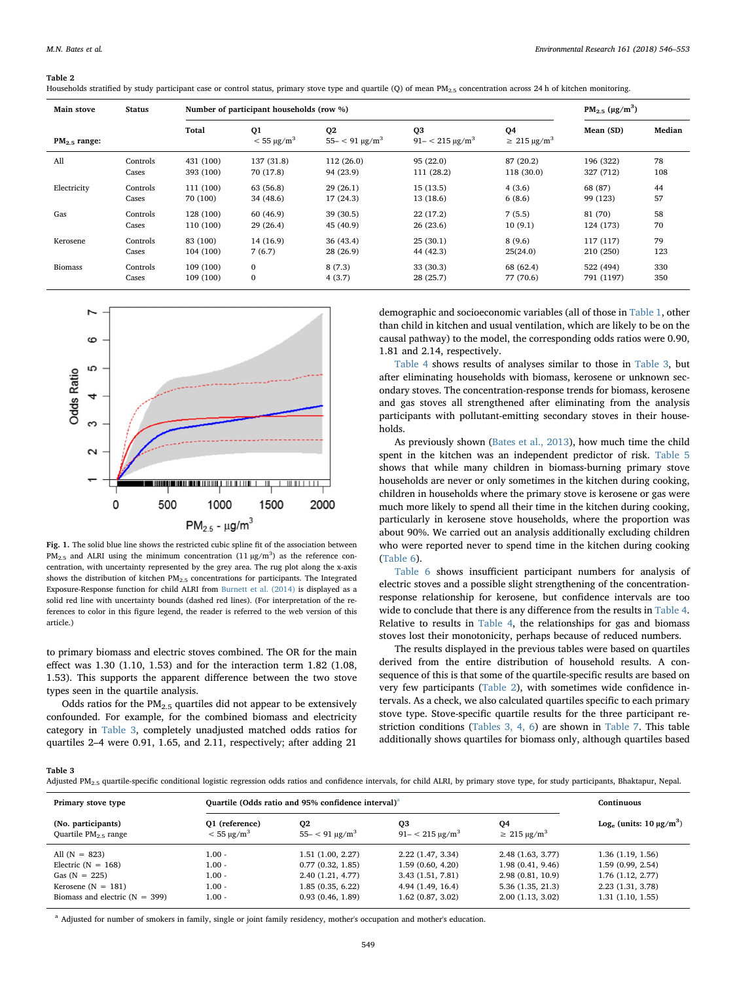| Main stove     | <b>Status</b> | Number of participant households (row %) |                                |                                              |                                               |                                 |            |        |
|----------------|---------------|------------------------------------------|--------------------------------|----------------------------------------------|-----------------------------------------------|---------------------------------|------------|--------|
| $PM2.5$ range: |               | Total                                    | Q1<br>$<$ 55 µg/m <sup>3</sup> | Q <sub>2</sub><br>$55 - < 91 \text{ µg/m}^3$ | Q <sub>3</sub><br>$91 - < 215 \text{ kg/m}^3$ | Q4<br>$\geq 215 \text{ µg/m}^3$ | Mean (SD)  | Median |
| All            | Controls      | 431 (100)                                | 137 (31.8)                     | 112(26.0)                                    | 95(22.0)                                      | 87 (20.2)                       | 196 (322)  | 78     |
|                | Cases         | 393 (100)                                | 70 (17.8)                      | 94 (23.9)                                    | 111 (28.2)                                    | 118 (30.0)                      | 327 (712)  | 108    |
| Electricity    | Controls      | 111 (100)                                | 63 (56.8)                      | 29(26.1)                                     | 15(13.5)                                      | 4(3.6)                          | 68 (87)    | 44     |
|                | Cases         | 70 (100)                                 | 34 (48.6)                      | 17 (24.3)                                    | 13(18.6)                                      | 6(8.6)                          | 99 (123)   | 57     |
| Gas            | Controls      | 128 (100)                                | 60(46.9)                       | 39(30.5)                                     | 22(17.2)                                      | 7(5.5)                          | 81 (70)    | 58     |
|                | Cases         | 110 (100)                                | 29(26.4)                       | 45 (40.9)                                    | 26(23.6)                                      | 10(9.1)                         | 124 (173)  | 70     |
| Kerosene       | Controls      | 83 (100)                                 | 14 (16.9)                      | 36(43.4)                                     | 25(30.1)                                      | 8(9.6)                          | 117 (117)  | 79     |
|                | Cases         | 104 (100)                                | 7(6.7)                         | 28(26.9)                                     | 44 (42.3)                                     | 25(24.0)                        | 210 (250)  | 123    |
| <b>Biomass</b> | Controls      | 109 (100)                                | $\mathbf{0}$                   | 8(7.3)                                       | 33 (30.3)                                     | 68 (62.4)                       | 522 (494)  | 330    |
|                | Cases         | 109 (100)                                | $\mathbf{0}$                   | 4(3.7)                                       | 28(25.7)                                      | 77 (70.6)                       | 791 (1197) | 350    |

<span id="page-3-0"></span>

<span id="page-3-1"></span>

Fig. 1. The solid blue line shows the restricted cubic spline fit of the association between  $PM_{2.5}$  and ALRI using the minimum concentration (11  $\mu$ g/m<sup>3</sup>) as the reference concentration, with uncertainty represented by the grey area. The rug plot along the x-axis shows the distribution of kitchen PM2.5 concentrations for participants. The Integrated Exposure-Response function for child ALRI from [Burnett et al. \(2014\)](#page-6-4) is displayed as a solid red line with uncertainty bounds (dashed red lines). (For interpretation of the references to color in this figure legend, the reader is referred to the web version of this article.)

to primary biomass and electric stoves combined. The OR for the main effect was 1.30 (1.10, 1.53) and for the interaction term 1.82 (1.08, 1.53). This supports the apparent difference between the two stove types seen in the quartile analysis.

Odds ratios for the  $PM<sub>2.5</sub>$  quartiles did not appear to be extensively confounded. For example, for the combined biomass and electricity category in [Table 3,](#page-3-2) completely unadjusted matched odds ratios for quartiles 2–4 were 0.91, 1.65, and 2.11, respectively; after adding 21

demographic and socioeconomic variables (all of those in [Table 1,](#page-2-0) other than child in kitchen and usual ventilation, which are likely to be on the causal pathway) to the model, the corresponding odds ratios were 0.90, 1.81 and 2.14, respectively.

[Table 4](#page-4-0) shows results of analyses similar to those in [Table 3,](#page-3-2) but after eliminating households with biomass, kerosene or unknown secondary stoves. The concentration-response trends for biomass, kerosene and gas stoves all strengthened after eliminating from the analysis participants with pollutant-emitting secondary stoves in their households.

As previously shown [\(Bates et al., 2013](#page-6-0)), how much time the child spent in the kitchen was an independent predictor of risk. [Table 5](#page-4-1) shows that while many children in biomass-burning primary stove households are never or only sometimes in the kitchen during cooking, children in households where the primary stove is kerosene or gas were much more likely to spend all their time in the kitchen during cooking, particularly in kerosene stove households, where the proportion was about 90%. We carried out an analysis additionally excluding children who were reported never to spend time in the kitchen during cooking ([Table 6](#page-4-2)).

[Table 6](#page-4-2) shows insufficient participant numbers for analysis of electric stoves and a possible slight strengthening of the concentrationresponse relationship for kerosene, but confidence intervals are too wide to conclude that there is any difference from the results in [Table 4](#page-4-0). Relative to results in [Table 4](#page-4-0), the relationships for gas and biomass stoves lost their monotonicity, perhaps because of reduced numbers.

The results displayed in the previous tables were based on quartiles derived from the entire distribution of household results. A consequence of this is that some of the quartile-specific results are based on very few participants ([Table 2](#page-3-0)), with sometimes wide confidence intervals. As a check, we also calculated quartiles specific to each primary stove type. Stove-specific quartile results for the three participant restriction conditions ([Tables 3, 4, 6](#page-3-2)) are shown in [Table 7](#page-5-0). This table additionally shows quartiles for biomass only, although quartiles based

<span id="page-3-2"></span>Table 3

| Adjusted PM <sub>2.5</sub> quartile-specific conditional logistic regression odds ratios and confidence intervals, for child ALRI, by primary stove type, for study participants, Bhaktapur, Nepal. |  |
|-----------------------------------------------------------------------------------------------------------------------------------------------------------------------------------------------------|--|
|-----------------------------------------------------------------------------------------------------------------------------------------------------------------------------------------------------|--|

| Primary stove type                              |                                         | Quartile (Odds ratio and 95% confidence interval) <sup>a</sup> | Continuous                                    |                                    |                               |
|-------------------------------------------------|-----------------------------------------|----------------------------------------------------------------|-----------------------------------------------|------------------------------------|-------------------------------|
| (No. participants)<br>Quartile $PM_{2.5}$ range | 01 (reference)<br>$< 55 \text{ µg/m}^3$ | 02<br>$55 - < 91 \text{ µg/m}^3$                               | O <sub>3</sub><br>$91 - < 215 \text{ µg/m}^3$ | 04<br>$\geq$ 215 µg/m <sup>3</sup> | Log. (units: $10 \mu g/m^3$ ) |
| All $(N = 823)$                                 | $0.00 -$                                | 1.51(1.00, 2.27)                                               | 2.22(1.47, 3.34)                              | 2.48(1.63, 3.77)                   | 1.36(1.19, 1.56)              |
| Electric $(N = 168)$                            | - 10.1                                  | 0.77(0.32, 1.85)                                               | 1.59(0.60, 4.20)                              | 1.98(0.41, 9.46)                   | 1.59(0.99, 2.54)              |
| Gas $(N = 225)$                                 | $-00.1$                                 | 2.40(1.21, 4.77)                                               | 3.43(1.51, 7.81)                              | 2.98(0.81, 10.9)                   | 1.76(1.12, 2.77)              |
| Kerosene $(N = 181)$                            | $-00.1$                                 | 1.85(0.35, 6.22)                                               | 4.94 (1.49, 16.4)                             | 5.36(1.35, 21.3)                   | 2.23 (1.31, 3.78)             |
| Biomass and electric ( $N = 399$ )              | $0.00 -$                                | 0.93(0.46, 1.89)                                               | 1.62(0.87, 3.02)                              | 2.00(1.13, 3.02)                   | 1.31(1.10, 1.55)              |

<span id="page-3-3"></span><sup>a</sup> Adjusted for number of smokers in family, single or joint family residency, mother's occupation and mother's education.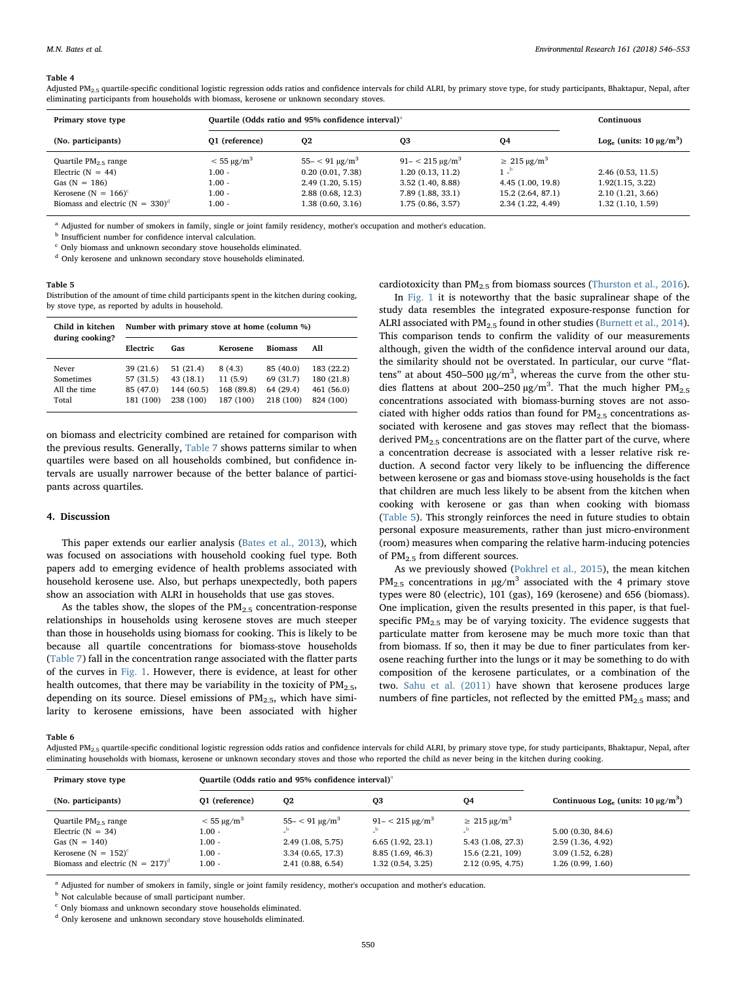<span id="page-4-0"></span>Adjusted PM<sub>2.5</sub> quartile-specific conditional logistic regression odds ratios and confidence intervals for child ALRI, by primary stove type, for study participants, Bhaktapur, Nepal, after eliminating participants from households with biomass, kerosene or unknown secondary stoves.

| Primary stove type                 | Quartile (Odds ratio and 95% confidence interval) <sup>a</sup> | Continuous                 |                             |                               |                  |
|------------------------------------|----------------------------------------------------------------|----------------------------|-----------------------------|-------------------------------|------------------|
| (No. participants)                 | 01 (reference)<br>Q3<br>Q <sub>2</sub><br>04                   |                            |                             | Log. (units: $10 \mu g/m^3$ ) |                  |
| Quartile $PM2.5$ range             | $< 55 \text{ µg/m}^3$                                          | $55 - < 91 \text{ µg/m}^3$ | $91 - < 215 \text{ kg/m}^3$ | $\geq$ 215 µg/m <sup>3</sup>  |                  |
| Electric $(N = 44)$                | $1.00 -$                                                       | 0.20(0.01, 7.38)           | 1.20(0.13, 11.2)            | $1 - P$                       | 2.46(0.53, 11.5) |
| Gas $(N = 186)$                    | $1.00 -$                                                       | 2.49(1.20, 5.15)           | 3.52(1.40, 8.88)            | 4.45(1.00, 19.8)              | 1.92(1.15, 3.22) |
| Kerosene (N = $166$ ) <sup>c</sup> | $1.00 -$                                                       | 2.88(0.68, 12.3)           | 7.89 (1.88, 33.1)           | 15.2 (2.64, 87.1)             | 2.10(1.21, 3.66) |
| Biomass and electric $(N = 330)^d$ | $1.00 -$                                                       | 1.38 (0.60, 3.16)          | 1.75(0.86, 3.57)            | 2.34(1.22, 4.49)              | 1.32(1.10, 1.59) |

<span id="page-4-3"></span><sup>a</sup> Adjusted for number of smokers in family, single or joint family residency, mother's occupation and mother's education.

<span id="page-4-4"></span><sup>b</sup> Insufficient number for confidence interval calculation.

<span id="page-4-5"></span><sup>c</sup> Only biomass and unknown secondary stove households eliminated.

<span id="page-4-6"></span><sup>d</sup> Only kerosene and unknown secondary stove households eliminated.

## <span id="page-4-1"></span>Table 5

Distribution of the amount of time child participants spent in the kitchen during cooking, by stove type, as reported by adults in household.

| Child in kitchen<br>during cooking?         | Number with primary stove at home (column %)    |                                                 |                                              |                                                  |                                                     |  |
|---------------------------------------------|-------------------------------------------------|-------------------------------------------------|----------------------------------------------|--------------------------------------------------|-----------------------------------------------------|--|
|                                             | Electric                                        | Gas                                             | Kerosene                                     | <b>Biomass</b>                                   | All                                                 |  |
| Never<br>Sometimes<br>All the time<br>Total | 39(21.6)<br>57 (31.5)<br>85 (47.0)<br>181 (100) | 51(21.4)<br>43(18.1)<br>144 (60.5)<br>238 (100) | 8(4.3)<br>11(5.9)<br>168 (89.8)<br>187 (100) | 85 (40.0)<br>69 (31.7)<br>64 (29.4)<br>218 (100) | 183 (22.2)<br>180 (21.8)<br>461 (56.0)<br>824 (100) |  |

on biomass and electricity combined are retained for comparison with the previous results. Generally, [Table 7](#page-5-0) shows patterns similar to when quartiles were based on all households combined, but confidence intervals are usually narrower because of the better balance of participants across quartiles.

## 4. Discussion

This paper extends our earlier analysis ([Bates et al., 2013\)](#page-6-0), which was focused on associations with household cooking fuel type. Both papers add to emerging evidence of health problems associated with household kerosene use. Also, but perhaps unexpectedly, both papers show an association with ALRI in households that use gas stoves.

As the tables show, the slopes of the  $PM_{2.5}$  concentration-response relationships in households using kerosene stoves are much steeper than those in households using biomass for cooking. This is likely to be because all quartile concentrations for biomass-stove households ([Table 7\)](#page-5-0) fall in the concentration range associated with the flatter parts of the curves in [Fig. 1.](#page-3-1) However, there is evidence, at least for other health outcomes, that there may be variability in the toxicity of  $PM<sub>2.5</sub>$ , depending on its source. Diesel emissions of  $PM_{2.5}$ , which have similarity to kerosene emissions, have been associated with higher

cardiotoxicity than  $PM_{2.5}$  from biomass sources ([Thurston et al., 2016](#page-7-4)).

In [Fig. 1](#page-3-1) it is noteworthy that the basic supralinear shape of the study data resembles the integrated exposure-response function for ALRI associated with  $PM_{2.5}$  found in other studies ([Burnett et al., 2014](#page-6-4)). This comparison tends to confirm the validity of our measurements although, given the width of the confidence interval around our data, the similarity should not be overstated. In particular, our curve "flattens" at about 450-500  $\mu$ g/m<sup>3</sup>, whereas the curve from the other studies flattens at about 200-250  $\mu$ g/m<sup>3</sup>. That the much higher PM<sub>2.5</sub> concentrations associated with biomass-burning stoves are not associated with higher odds ratios than found for  $PM_{2.5}$  concentrations associated with kerosene and gas stoves may reflect that the biomassderived PM<sub>2.5</sub> concentrations are on the flatter part of the curve, where a concentration decrease is associated with a lesser relative risk reduction. A second factor very likely to be influencing the difference between kerosene or gas and biomass stove-using households is the fact that children are much less likely to be absent from the kitchen when cooking with kerosene or gas than when cooking with biomass ([Table 5](#page-4-1)). This strongly reinforces the need in future studies to obtain personal exposure measurements, rather than just micro-environment (room) measures when comparing the relative harm-inducing potencies of PM2.5 from different sources.

As we previously showed ([Pokhrel et al., 2015](#page-7-3)), the mean kitchen  $PM_{2.5}$  concentrations in  $\mu$ g/m<sup>3</sup> associated with the 4 primary stove types were 80 (electric), 101 (gas), 169 (kerosene) and 656 (biomass). One implication, given the results presented in this paper, is that fuelspecific  $PM<sub>2.5</sub>$  may be of varying toxicity. The evidence suggests that particulate matter from kerosene may be much more toxic than that from biomass. If so, then it may be due to finer particulates from kerosene reaching further into the lungs or it may be something to do with composition of the kerosene particulates, or a combination of the two. [Sahu et al. \(2011\)](#page-7-5) have shown that kerosene produces large numbers of fine particles, not reflected by the emitted  $PM_{2.5}$  mass; and

<span id="page-4-2"></span>Table 6

Adjusted PM<sub>2.5</sub> quartile-specific conditional logistic regression odds ratios and confidence intervals for child ALRI, by primary stove type, for study participants, Bhaktapur, Nepal, after eliminating households with biomass, kerosene or unknown secondary stoves and those who reported the child as never being in the kitchen during cooking.

| Primary stove type                                                                                                                               |                                                                  | Quartile (Odds ratio and 95% confidence interval) <sup>a</sup>                         |                                                                                          |                                                                                           |                                                                              |
|--------------------------------------------------------------------------------------------------------------------------------------------------|------------------------------------------------------------------|----------------------------------------------------------------------------------------|------------------------------------------------------------------------------------------|-------------------------------------------------------------------------------------------|------------------------------------------------------------------------------|
| (No. participants)                                                                                                                               | 01 (reference)                                                   | Q <sub>2</sub>                                                                         | Q <sub>3</sub>                                                                           | Q4                                                                                        | Continuous Log. (units: $10 \mu g/m^3$ )                                     |
| Quartile $PM_{2.5}$ range<br>Electric $(N = 34)$<br>Gas $(N = 140)$<br>Kerosene ( $N = 152$ ) <sup>c</sup><br>Biomass and electric $(N = 217)^d$ | $<$ 55 µg/m <sup>3</sup><br>1.00 -<br>1.00 -<br>1.00 -<br>1.00 - | $55 - < 91 \text{ µg/m}^3$<br>2.49(1.08, 5.75)<br>3.34(0.65, 17.3)<br>2.41(0.88, 6.54) | $91 - < 215 \text{ µg/m}^3$<br>6.65(1.92, 23.1)<br>8.85 (1.69, 46.3)<br>1.32(0.54, 3.25) | $\geq$ 215 µg/m <sup>3</sup><br>5.43 (1.08, 27.3)<br>15.6 (2.21, 109)<br>2.12(0.95, 4.75) | 5.00(0.30, 84.6)<br>2.59(1.36, 4.92)<br>3.09(1.52, 6.28)<br>1.26(0.99, 1.60) |

<span id="page-4-7"></span><sup>a</sup> Adjusted for number of smokers in family, single or joint family residency, mother's occupation and mother's education.

<span id="page-4-8"></span>**b** Not calculable because of small participant number.

<span id="page-4-9"></span><sup>c</sup> Only biomass and unknown secondary stove households eliminated.

<span id="page-4-10"></span><sup>d</sup> Only kerosene and unknown secondary stove households eliminated.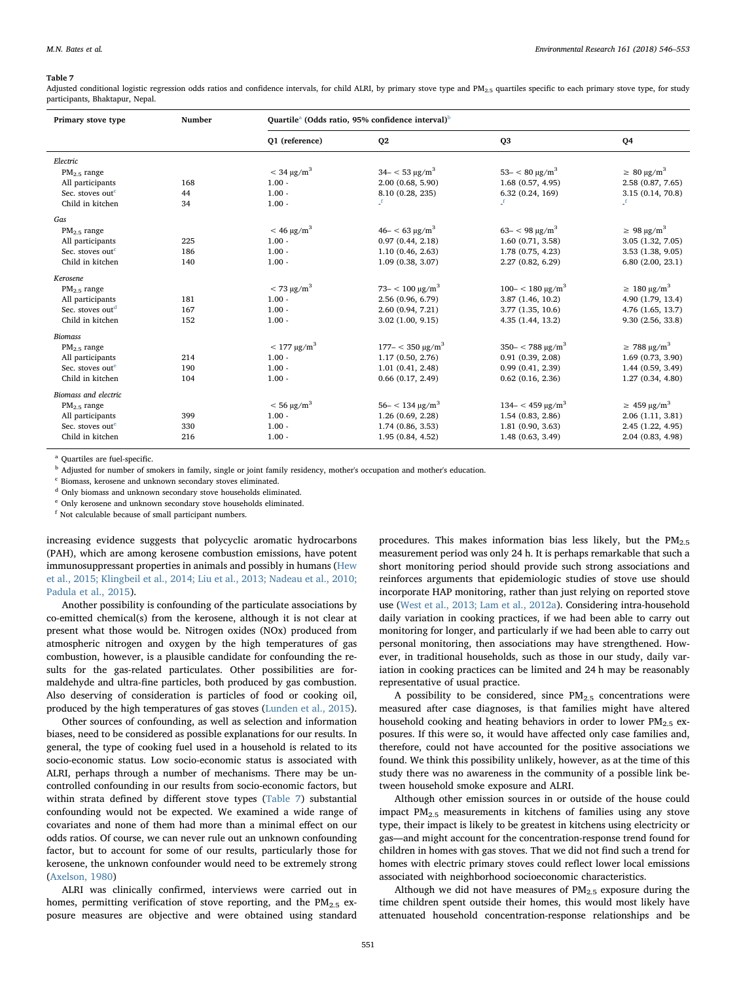<span id="page-5-0"></span>Adjusted conditional logistic regression odds ratios and confidence intervals, for child ALRI, by primary stove type and PM $_{2.5}$  quartiles specific to each primary stove type, for study participants, Bhaktapur, Nepal.

| Primary stove type           | Number | Quartile <sup>a</sup> (Odds ratio, 95% confidence interval) <sup>b</sup> |                              |                              |                                 |  |
|------------------------------|--------|--------------------------------------------------------------------------|------------------------------|------------------------------|---------------------------------|--|
|                              |        | 01 (reference)                                                           | Q <sub>2</sub>               | Q <sub>3</sub>               | Q4                              |  |
| Electric                     |        |                                                                          |                              |                              |                                 |  |
| $PM2.5$ range                |        | $<$ 34 $\mu$ g/m <sup>3</sup>                                            | $34 - 53 \text{ kg/m}^3$     | $53 - < 80 \text{ µg/m}^3$   | $\geq 80 \text{ µg/m}^3$        |  |
| All participants             | 168    | $1.00 -$                                                                 | 2.00(0.68, 5.90)             | 1.68(0.57, 4.95)             | 2.58 (0.87, 7.65)               |  |
| Sec. stoves out <sup>c</sup> | 44     | $1.00 -$                                                                 | 8.10 (0.28, 235)             | 6.32(0.24, 169)              | 3.15 (0.14, 70.8)               |  |
| Child in kitchen             | 34     | $1.00 -$                                                                 | Ŀ                            | f                            | Ŀ.                              |  |
| Gas                          |        |                                                                          |                              |                              |                                 |  |
| $PM2.5$ range                |        | $<$ 46 µg/m <sup>3</sup>                                                 | $46 - < 63 \text{ kg/m}^3$   | $63 - < 98 \text{ µg/m}^3$   | $\geq 98 \mu g/m^3$             |  |
| All participants             | 225    | $1.00 -$                                                                 | 0.97(0.44, 2.18)             | 1.60(0.71, 3.58)             | 3.05 (1.32, 7.05)               |  |
| Sec. stoves out <sup>c</sup> | 186    | $1.00 -$                                                                 | 1.10(0.46, 2.63)             | 1.78 (0.75, 4.23)            | 3.53(1.38, 9.05)                |  |
| Child in kitchen             | 140    | $1.00 -$                                                                 | 1.09(0.38, 3.07)             | 2.27(0.82, 6.29)             | 6.80(2.00, 23.1)                |  |
| Kerosene                     |        |                                                                          |                              |                              |                                 |  |
| $PM2.5$ range                |        | $<$ 73 µg/m <sup>3</sup>                                                 | $73 - 100 \text{ kg/m}^3$    | $100 - < 180 \text{ kg/m}^3$ | $\geq 180 \text{ µg/m}^3$       |  |
| All participants             | 181    | $1.00 -$                                                                 | 2.56 (0.96, 6.79)            | 3.87 (1.46, 10.2)            | 4.90 (1.79, 13.4)               |  |
| Sec. stoves out <sup>d</sup> | 167    | $1.00 -$                                                                 | 2.60 (0.94, 7.21)            | 3.77(1.35, 10.6)             | 4.76 (1.65, 13.7)               |  |
| Child in kitchen             | 152    | $1.00 -$                                                                 | 3.02(1.00, 9.15)             | 4.35 (1.44, 13.2)            | 9.30 (2.56, 33.8)               |  |
| <b>Biomass</b>               |        |                                                                          |                              |                              |                                 |  |
| $PM2.5$ range                |        | $< 177 \mu g/m^3$                                                        | $177 - < 350 \text{ µg/m}^3$ | $350 - < 788 \text{ µg/m}^3$ | $\geq 788 \,\mathrm{\mu g/m^3}$ |  |
| All participants             | 214    | $1.00 -$                                                                 | 1.17(0.50, 2.76)             | 0.91(0.39, 2.08)             | 1.69(0.73, 3.90)                |  |
| Sec. stoves out <sup>e</sup> | 190    | $1.00 -$                                                                 | 1.01(0.41, 2.48)             | 0.99(0.41, 2.39)             | 1.44(0.59, 3.49)                |  |
| Child in kitchen             | 104    | $1.00 -$                                                                 | $0.66$ $(0.17, 2.49)$        | 0.62(0.16, 2.36)             | 1.27(0.34, 4.80)                |  |
| Biomass and electric         |        |                                                                          |                              |                              |                                 |  |
| $PM2.5$ range                |        | $<$ 56 µg/m <sup>3</sup>                                                 | $56 - < 134 \text{ kg/m}^3$  | $134 - < 459 \text{ µg/m}^3$ | $\geq 459 \text{ kg/m}^3$       |  |
| All participants             | 399    | $1.00 -$                                                                 | 1.26(0.69, 2.28)             | 1.54(0.83, 2.86)             | 2.06(1.11, 3.81)                |  |
| Sec. stoves out <sup>e</sup> | 330    | $1.00 -$                                                                 | 1.74(0.86, 3.53)             | 1.81(0.90, 3.63)             | 2.45 (1.22, 4.95)               |  |
| Child in kitchen             | 216    | $1.00 -$                                                                 | 1.95(0.84, 4.52)             | 1.48(0.63, 3.49)             | 2.04 (0.83, 4.98)               |  |

<span id="page-5-1"></span>Quartiles are fuel-specific.

<span id="page-5-2"></span><sup>b</sup> Adjusted for number of smokers in family, single or joint family residency, mother's occupation and mother's education.

<span id="page-5-3"></span><sup>c</sup> Biomass, kerosene and unknown secondary stoves eliminated.

<span id="page-5-5"></span><sup>d</sup> Only biomass and unknown secondary stove households eliminated.

<span id="page-5-6"></span><sup>e</sup> Only kerosene and unknown secondary stove households eliminated.

<span id="page-5-4"></span><sup>f</sup> Not calculable because of small participant numbers.

increasing evidence suggests that polycyclic aromatic hydrocarbons (PAH), which are among kerosene combustion emissions, have potent immunosuppressant properties in animals and possibly in humans ([Hew](#page-6-6) [et al., 2015; Klingbeil et al., 2014; Liu et al., 2013; Nadeau et al., 2010;](#page-6-6) [Padula et al., 2015](#page-6-6)).

Another possibility is confounding of the particulate associations by co-emitted chemical(s) from the kerosene, although it is not clear at present what those would be. Nitrogen oxides (NOx) produced from atmospheric nitrogen and oxygen by the high temperatures of gas combustion, however, is a plausible candidate for confounding the results for the gas-related particulates. Other possibilities are formaldehyde and ultra-fine particles, both produced by gas combustion. Also deserving of consideration is particles of food or cooking oil, produced by the high temperatures of gas stoves ([Lunden et al., 2015](#page-6-7)).

Other sources of confounding, as well as selection and information biases, need to be considered as possible explanations for our results. In general, the type of cooking fuel used in a household is related to its socio-economic status. Low socio-economic status is associated with ALRI, perhaps through a number of mechanisms. There may be uncontrolled confounding in our results from socio-economic factors, but within strata defined by different stove types [\(Table 7](#page-5-0)) substantial confounding would not be expected. We examined a wide range of covariates and none of them had more than a minimal effect on our odds ratios. Of course, we can never rule out an unknown confounding factor, but to account for some of our results, particularly those for kerosene, the unknown confounder would need to be extremely strong ([Axelson, 1980](#page-6-8))

ALRI was clinically confirmed, interviews were carried out in homes, permitting verification of stove reporting, and the  $PM_{2.5}$  exposure measures are objective and were obtained using standard

procedures. This makes information bias less likely, but the  $PM<sub>2.5</sub>$ measurement period was only 24 h. It is perhaps remarkable that such a short monitoring period should provide such strong associations and reinforces arguments that epidemiologic studies of stove use should incorporate HAP monitoring, rather than just relying on reported stove use ([West et al., 2013; Lam et al., 2012a\)](#page-7-6). Considering intra-household daily variation in cooking practices, if we had been able to carry out monitoring for longer, and particularly if we had been able to carry out personal monitoring, then associations may have strengthened. However, in traditional households, such as those in our study, daily variation in cooking practices can be limited and 24 h may be reasonably representative of usual practice.

A possibility to be considered, since  $PM_{2.5}$  concentrations were measured after case diagnoses, is that families might have altered household cooking and heating behaviors in order to lower PM<sub>2.5</sub> exposures. If this were so, it would have affected only case families and, therefore, could not have accounted for the positive associations we found. We think this possibility unlikely, however, as at the time of this study there was no awareness in the community of a possible link between household smoke exposure and ALRI.

Although other emission sources in or outside of the house could impact  $PM_{2.5}$  measurements in kitchens of families using any stove type, their impact is likely to be greatest in kitchens using electricity or gas—and might account for the concentration-response trend found for children in homes with gas stoves. That we did not find such a trend for homes with electric primary stoves could reflect lower local emissions associated with neighborhood socioeconomic characteristics.

Although we did not have measures of  $PM_{2.5}$  exposure during the time children spent outside their homes, this would most likely have attenuated household concentration-response relationships and be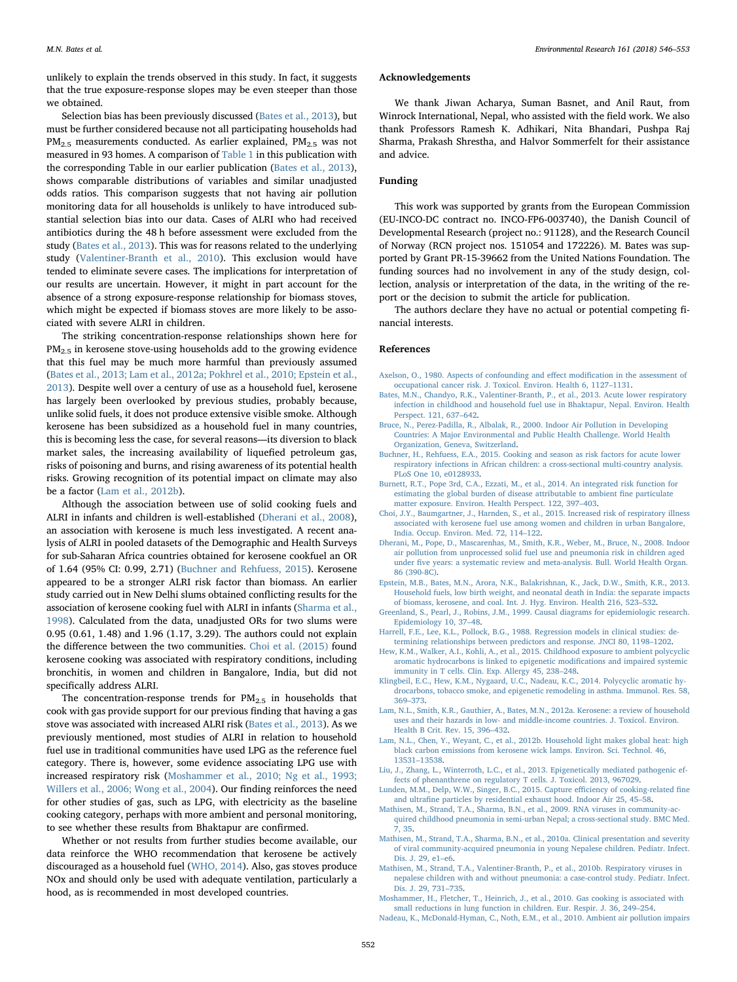unlikely to explain the trends observed in this study. In fact, it suggests that the true exposure-response slopes may be even steeper than those we obtained.

Selection bias has been previously discussed ([Bates et al., 2013\)](#page-6-0), but must be further considered because not all participating households had  $PM_{2.5}$  measurements conducted. As earlier explained,  $PM_{2.5}$  was not measured in 93 homes. A comparison of [Table 1](#page-2-0) in this publication with the corresponding Table in our earlier publication ([Bates et al., 2013](#page-6-0)), shows comparable distributions of variables and similar unadjusted odds ratios. This comparison suggests that not having air pollution monitoring data for all households is unlikely to have introduced substantial selection bias into our data. Cases of ALRI who had received antibiotics during the 48 h before assessment were excluded from the study ([Bates et al., 2013\)](#page-6-0). This was for reasons related to the underlying study ([Valentiner-Branth et al., 2010\)](#page-7-7). This exclusion would have tended to eliminate severe cases. The implications for interpretation of our results are uncertain. However, it might in part account for the absence of a strong exposure-response relationship for biomass stoves, which might be expected if biomass stoves are more likely to be associated with severe ALRI in children.

The striking concentration-response relationships shown here for PM2.5 in kerosene stove-using households add to the growing evidence that this fuel may be much more harmful than previously assumed ([Bates et al., 2013; Lam et al., 2012a; Pokhrel et al., 2010; Epstein et al.,](#page-6-0) [2013\)](#page-6-0). Despite well over a century of use as a household fuel, kerosene has largely been overlooked by previous studies, probably because, unlike solid fuels, it does not produce extensive visible smoke. Although kerosene has been subsidized as a household fuel in many countries, this is becoming less the case, for several reasons—its diversion to black market sales, the increasing availability of liquefied petroleum gas, risks of poisoning and burns, and rising awareness of its potential health risks. Growing recognition of its potential impact on climate may also be a factor [\(Lam et al., 2012b](#page-6-9)).

Although the association between use of solid cooking fuels and ALRI in infants and children is well-established ([Dherani et al., 2008](#page-6-10)), an association with kerosene is much less investigated. A recent analysis of ALRI in pooled datasets of the Demographic and Health Surveys for sub-Saharan Africa countries obtained for kerosene cookfuel an OR of 1.64 (95% CI: 0.99, 2.71) [\(Buchner and Rehfuess, 2015\)](#page-6-11). Kerosene appeared to be a stronger ALRI risk factor than biomass. An earlier study carried out in New Delhi slums obtained conflicting results for the association of kerosene cooking fuel with ALRI in infants ([Sharma et al.,](#page-7-8) [1998\)](#page-7-8). Calculated from the data, unadjusted ORs for two slums were 0.95 (0.61, 1.48) and 1.96 (1.17, 3.29). The authors could not explain the difference between the two communities. [Choi et al. \(2015\)](#page-6-12) found kerosene cooking was associated with respiratory conditions, including bronchitis, in women and children in Bangalore, India, but did not specifically address ALRI.

The concentration-response trends for  $PM<sub>2.5</sub>$  in households that cook with gas provide support for our previous finding that having a gas stove was associated with increased ALRI risk [\(Bates et al., 2013](#page-6-0)). As we previously mentioned, most studies of ALRI in relation to household fuel use in traditional communities have used LPG as the reference fuel category. There is, however, some evidence associating LPG use with increased respiratory risk ([Moshammer et al., 2010; Ng et al., 1993;](#page-6-13) [Willers et al., 2006; Wong et al., 2004](#page-6-13)). Our finding reinforces the need for other studies of gas, such as LPG, with electricity as the baseline cooking category, perhaps with more ambient and personal monitoring, to see whether these results from Bhaktapur are confirmed.

Whether or not results from further studies become available, our data reinforce the WHO recommendation that kerosene be actively discouraged as a household fuel ([WHO, 2014](#page-7-9)). Also, gas stoves produce NOx and should only be used with adequate ventilation, particularly a hood, as is recommended in most developed countries.

## Acknowledgements

We thank Jiwan Acharya, Suman Basnet, and Anil Raut, from Winrock International, Nepal, who assisted with the field work. We also thank Professors Ramesh K. Adhikari, Nita Bhandari, Pushpa Raj Sharma, Prakash Shrestha, and Halvor Sommerfelt for their assistance and advice.

## Funding

This work was supported by grants from the European Commission (EU-INCO-DC contract no. INCO-FP6-003740), the Danish Council of Developmental Research (project no.: 91128), and the Research Council of Norway (RCN project nos. 151054 and 172226). M. Bates was supported by Grant PR-15-39662 from the United Nations Foundation. The funding sources had no involvement in any of the study design, collection, analysis or interpretation of the data, in the writing of the report or the decision to submit the article for publication.

The authors declare they have no actual or potential competing financial interests.

#### References

- <span id="page-6-8"></span>[Axelson, O., 1980. Aspects of confounding and e](http://refhub.elsevier.com/S0013-9351(17)30566-2/sbref1)ffect modification in the assessment of [occupational cancer risk. J. Toxicol. Environ. Health 6, 1127](http://refhub.elsevier.com/S0013-9351(17)30566-2/sbref1)–1131.
- <span id="page-6-0"></span>[Bates, M.N., Chandyo, R.K., Valentiner-Branth, P., et al., 2013. Acute lower respiratory](http://refhub.elsevier.com/S0013-9351(17)30566-2/sbref2) [infection in childhood and household fuel use in Bhaktapur, Nepal. Environ. Health](http://refhub.elsevier.com/S0013-9351(17)30566-2/sbref2) [Perspect. 121, 637](http://refhub.elsevier.com/S0013-9351(17)30566-2/sbref2)–642.
- [Bruce, N., Perez-Padilla, R., Albalak, R., 2000. Indoor Air Pollution in Developing](http://refhub.elsevier.com/S0013-9351(17)30566-2/sbref3) [Countries: A Major Environmental and Public Health Challenge. World Health](http://refhub.elsevier.com/S0013-9351(17)30566-2/sbref3) [Organization, Geneva, Switzerland](http://refhub.elsevier.com/S0013-9351(17)30566-2/sbref3).
- <span id="page-6-11"></span>[Buchner, H., Rehfuess, E.A., 2015. Cooking and season as risk factors for acute lower](http://refhub.elsevier.com/S0013-9351(17)30566-2/sbref4) [respiratory infections in African children: a cross-sectional multi-country analysis.](http://refhub.elsevier.com/S0013-9351(17)30566-2/sbref4) [PLoS One 10, e0128933](http://refhub.elsevier.com/S0013-9351(17)30566-2/sbref4).
- <span id="page-6-4"></span>[Burnett, R.T., Pope 3rd, C.A., Ezzati, M., et al., 2014. An integrated risk function for](http://refhub.elsevier.com/S0013-9351(17)30566-2/sbref5) [estimating the global burden of disease attributable to ambient](http://refhub.elsevier.com/S0013-9351(17)30566-2/sbref5) fine particulate [matter exposure. Environ. Health Perspect. 122, 397](http://refhub.elsevier.com/S0013-9351(17)30566-2/sbref5)–403.
- <span id="page-6-12"></span>[Choi, J.Y., Baumgartner, J., Harnden, S., et al., 2015. Increased risk of respiratory illness](http://refhub.elsevier.com/S0013-9351(17)30566-2/sbref6) [associated with kerosene fuel use among women and children in urban Bangalore,](http://refhub.elsevier.com/S0013-9351(17)30566-2/sbref6) [India. Occup. Environ. Med. 72, 114](http://refhub.elsevier.com/S0013-9351(17)30566-2/sbref6)–122.
- <span id="page-6-10"></span>[Dherani, M., Pope, D., Mascarenhas, M., Smith, K.R., Weber, M., Bruce, N., 2008. Indoor](http://refhub.elsevier.com/S0013-9351(17)30566-2/sbref7) [air pollution from unprocessed solid fuel use and pneumonia risk in children aged](http://refhub.elsevier.com/S0013-9351(17)30566-2/sbref7) under fi[ve years: a systematic review and meta-analysis. Bull. World Health Organ.](http://refhub.elsevier.com/S0013-9351(17)30566-2/sbref7) [86 \(390-8C\)](http://refhub.elsevier.com/S0013-9351(17)30566-2/sbref7).
- [Epstein, M.B., Bates, M.N., Arora, N.K., Balakrishnan, K., Jack, D.W., Smith, K.R., 2013.](http://refhub.elsevier.com/S0013-9351(17)30566-2/sbref8) [Household fuels, low birth weight, and neonatal death in India: the separate impacts](http://refhub.elsevier.com/S0013-9351(17)30566-2/sbref8) [of biomass, kerosene, and coal. Int. J. Hyg. Environ. Health 216, 523](http://refhub.elsevier.com/S0013-9351(17)30566-2/sbref8)–532.
- <span id="page-6-2"></span>[Greenland, S., Pearl, J., Robins, J.M., 1999. Causal diagrams for epidemiologic research.](http://refhub.elsevier.com/S0013-9351(17)30566-2/sbref9) [Epidemiology 10, 37](http://refhub.elsevier.com/S0013-9351(17)30566-2/sbref9)–48.
- <span id="page-6-3"></span>[Harrell, F.E., Lee, K.L., Pollock, B.G., 1988. Regression models in clinical studies: de](http://refhub.elsevier.com/S0013-9351(17)30566-2/sbref10)[termining relationships between predictors and response. JNCI 80, 1198](http://refhub.elsevier.com/S0013-9351(17)30566-2/sbref10)–1202.
- <span id="page-6-6"></span>[Hew, K.M., Walker, A.I., Kohli, A., et al., 2015. Childhood exposure to ambient polycyclic](http://refhub.elsevier.com/S0013-9351(17)30566-2/sbref11) [aromatic hydrocarbons is linked to epigenetic modi](http://refhub.elsevier.com/S0013-9351(17)30566-2/sbref11)fications and impaired systemic [immunity in T cells. Clin. Exp. Allergy 45, 238](http://refhub.elsevier.com/S0013-9351(17)30566-2/sbref11)–248.
- [Klingbeil, E.C., Hew, K.M., Nygaard, U.C., Nadeau, K.C., 2014. Polycyclic aromatic hy](http://refhub.elsevier.com/S0013-9351(17)30566-2/sbref12)[drocarbons, tobacco smoke, and epigenetic remodeling in asthma. Immunol. Res. 58,](http://refhub.elsevier.com/S0013-9351(17)30566-2/sbref12) 369–[373](http://refhub.elsevier.com/S0013-9351(17)30566-2/sbref12).
- [Lam, N.L., Smith, K.R., Gauthier, A., Bates, M.N., 2012a. Kerosene: a review of household](http://refhub.elsevier.com/S0013-9351(17)30566-2/sbref13) [uses and their hazards in low- and middle-income countries. J. Toxicol. Environ.](http://refhub.elsevier.com/S0013-9351(17)30566-2/sbref13) [Health B Crit. Rev. 15, 396](http://refhub.elsevier.com/S0013-9351(17)30566-2/sbref13)–432.
- <span id="page-6-9"></span>[Lam, N.L., Chen, Y., Weyant, C., et al., 2012b. Household light makes global heat: high](http://refhub.elsevier.com/S0013-9351(17)30566-2/sbref14) [black carbon emissions from kerosene wick lamps. Environ. Sci. Technol. 46,](http://refhub.elsevier.com/S0013-9351(17)30566-2/sbref14) 13531–[13538.](http://refhub.elsevier.com/S0013-9351(17)30566-2/sbref14)
- [Liu, J., Zhang, L., Winterroth, L.C., et al., 2013. Epigenetically mediated pathogenic ef](http://refhub.elsevier.com/S0013-9351(17)30566-2/sbref15)[fects of phenanthrene on regulatory T cells. J. Toxicol. 2013, 967029.](http://refhub.elsevier.com/S0013-9351(17)30566-2/sbref15)
- <span id="page-6-7"></span>[Lunden, M.M., Delp, W.W., Singer, B.C., 2015. Capture e](http://refhub.elsevier.com/S0013-9351(17)30566-2/sbref16)fficiency of cooking-related fine and ultrafi[ne particles by residential exhaust hood. Indoor Air 25, 45](http://refhub.elsevier.com/S0013-9351(17)30566-2/sbref16)–58.
- <span id="page-6-5"></span>[Mathisen, M., Strand, T.A., Sharma, B.N., et al., 2009. RNA viruses in community-ac](http://refhub.elsevier.com/S0013-9351(17)30566-2/sbref17)[quired childhood pneumonia in semi-urban Nepal; a cross-sectional study. BMC Med.](http://refhub.elsevier.com/S0013-9351(17)30566-2/sbref17) 7, [35](http://refhub.elsevier.com/S0013-9351(17)30566-2/sbref17).
- <span id="page-6-1"></span>[Mathisen, M., Strand, T.A., Sharma, B.N., et al., 2010a. Clinical presentation and severity](http://refhub.elsevier.com/S0013-9351(17)30566-2/sbref18) [of viral community-acquired pneumonia in young Nepalese children. Pediatr. Infect.](http://refhub.elsevier.com/S0013-9351(17)30566-2/sbref18) [Dis. J. 29, e1](http://refhub.elsevier.com/S0013-9351(17)30566-2/sbref18)–e6.
- [Mathisen, M., Strand, T.A., Valentiner-Branth, P., et al., 2010b. Respiratory viruses in](http://refhub.elsevier.com/S0013-9351(17)30566-2/sbref19) [nepalese children with and without pneumonia: a case-control study. Pediatr. Infect.](http://refhub.elsevier.com/S0013-9351(17)30566-2/sbref19) [Dis. J. 29, 731](http://refhub.elsevier.com/S0013-9351(17)30566-2/sbref19)–735.
- <span id="page-6-13"></span>[Moshammer, H., Fletcher, T., Heinrich, J., et al., 2010. Gas cooking is associated with](http://refhub.elsevier.com/S0013-9351(17)30566-2/sbref20) [small reductions in lung function in children. Eur. Respir. J. 36, 249](http://refhub.elsevier.com/S0013-9351(17)30566-2/sbref20)–254.
- [Nadeau, K., McDonald-Hyman, C., Noth, E.M., et al., 2010. Ambient air pollution impairs](http://refhub.elsevier.com/S0013-9351(17)30566-2/sbref21)